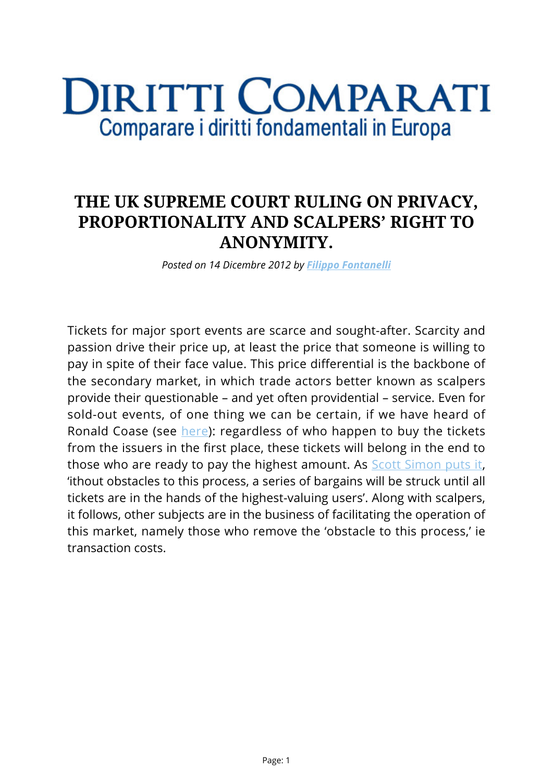## DIRITTI COMPARATI Comparare i diritti fondamentali in Europa

## **THE UK SUPREME COURT RULING ON PRIVACY, PROPORTIONALITY AND SCALPERS' RIGHT TO ANONYMITY.**

*Posted on 14 Dicembre 2012 by [Filippo Fontanelli](https://www.diritticomparati.it/autore/filippo-fontanelli/)*

Tickets for major sport events are scarce and sought-after. Scarcity and passion drive their price up, at least the price that someone is willing to pay in spite of their face value. This price differential is the backbone of the secondary market, in which trade actors better known as scalpers provide their questionable – and yet often providential – service. Even for sold-out events, of one thing we can be certain, if we have heard of Ronald Coase (see [here\)](http://www.econ.ucsb.edu/~tedb/Courses/UCSBpf/readings/coase.pdf): regardless of who happen to buy the tickets from the issuers in the first place, these tickets will belong in the end to those who are ready to pay the highest amount. As [Scott Simon puts it](http://ir.lawnet.fordham.edu/cgi/viewcontent.cgi?article=3951&context=flr), 'ithout obstacles to this process, a series of bargains will be struck until all tickets are in the hands of the highest-valuing users'. Along with scalpers, it follows, other subjects are in the business of facilitating the operation of this market, namely those who remove the 'obstacle to this process,' ie transaction costs.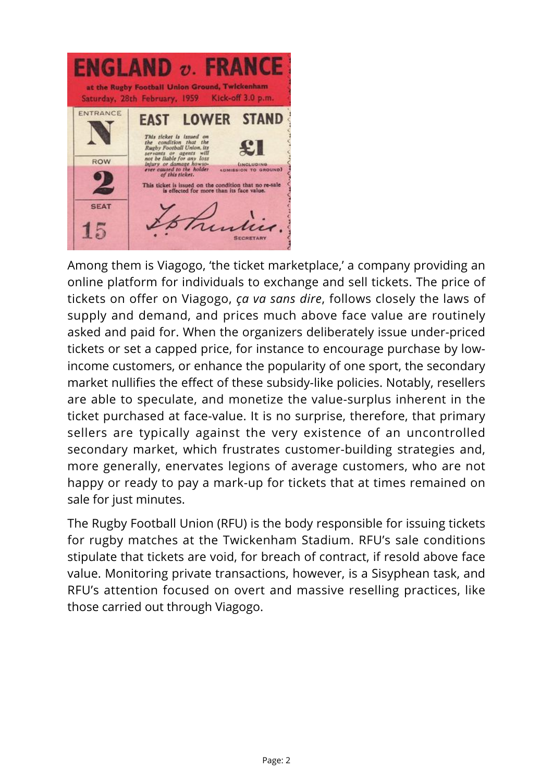**ENGLAND v. FRANCE** at the Rugby Football Union Ground, Twickenham Saturday, 28th February, 1959 Kick-off 3.0 p.m. ENTRANCE **EAST LOWER STAND** This ticket is issued on<br>the condition that the Rugby Football Union, its<br>graph  $\frac{1}{2}$  and  $\frac{1}{2}$  and  $\frac{1}{2}$  and  $\frac{1}{2}$  and<br> $\frac{1}{2}$  and  $\frac{1}{2}$  and  $\frac{1}{2}$  and  $\frac{1}{2}$  and  $\frac{1}{2}$ <br> $\frac{1}{2}$  and  $\frac{1$ ROW LINCLUDING<br>(ADMISSION TO GROUND) ticket is issued on the condition that no re-sale<br>is effected for more than its face value. **SEAT** 15  $\overline{\mathcal{U}}$ **ECRETARY** 

Among them is Viagogo, 'the ticket marketplace,' a company providing an online platform for individuals to exchange and sell tickets. The price of tickets on offer on Viagogo, *ça va sans dire*, follows closely the laws of supply and demand, and prices much above face value are routinely asked and paid for. When the organizers deliberately issue under-priced tickets or set a capped price, for instance to encourage purchase by lowincome customers, or enhance the popularity of one sport, the secondary market nullifies the effect of these subsidy-like policies. Notably, resellers are able to speculate, and monetize the value-surplus inherent in the ticket purchased at face-value. It is no surprise, therefore, that primary sellers are typically against the very existence of an uncontrolled secondary market, which frustrates customer-building strategies and, more generally, enervates legions of average customers, who are not happy or ready to pay a mark-up for tickets that at times remained on sale for just minutes.

The Rugby Football Union (RFU) is the body responsible for issuing tickets for rugby matches at the Twickenham Stadium. RFU's sale conditions stipulate that tickets are void, for breach of contract, if resold above face value. Monitoring private transactions, however, is a Sisyphean task, and RFU's attention focused on overt and massive reselling practices, like those carried out through Viagogo.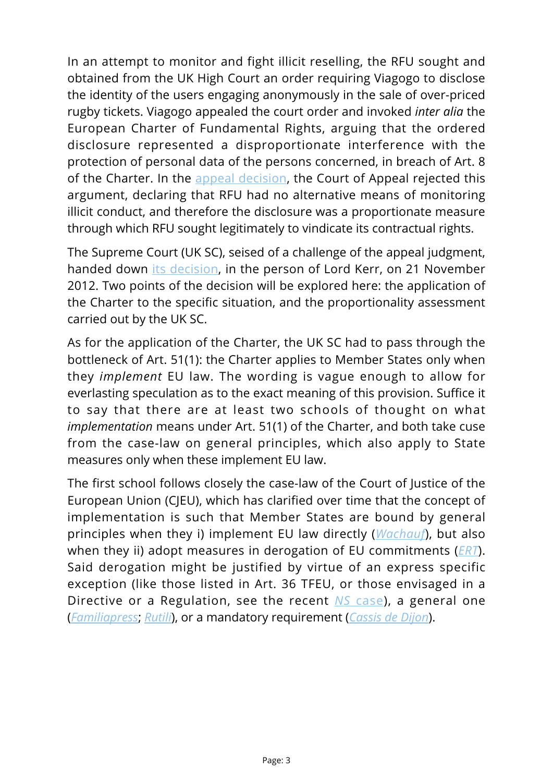In an attempt to monitor and fight illicit reselling, the RFU sought and obtained from the UK High Court an order requiring Viagogo to disclose the identity of the users engaging anonymously in the sale of over-priced rugby tickets. Viagogo appealed the court order and invoked *inter alia* the European Charter of Fundamental Rights, arguing that the ordered disclosure represented a disproportionate interference with the protection of personal data of the persons concerned, in breach of Art. 8 of the Charter. In the [appeal decision,](http://www.bailii.org/ew/cases/EWCA/Civ/2011/1585.html) the Court of Appeal rejected this argument, declaring that RFU had no alternative means of monitoring illicit conduct, and therefore the disclosure was a proportionate measure through which RFU sought legitimately to vindicate its contractual rights.

The Supreme Court (UK SC), seised of a challenge of the appeal judgment, handed down [its decision](http://www.bailii.org/uk/cases/UKSC/2012/55.html), in the person of Lord Kerr, on 21 November 2012. Two points of the decision will be explored here: the application of the Charter to the specific situation, and the proportionality assessment carried out by the UK SC.

As for the application of the Charter, the UK SC had to pass through the bottleneck of Art. 51(1): the Charter applies to Member States only when they *implement* EU law. The wording is vague enough to allow for everlasting speculation as to the exact meaning of this provision. Suffice it to say that there are at least two schools of thought on what *implementation* means under Art. 51(1) of the Charter, and both take cuse from the case-law on general principles, which also apply to State measures only when these implement EU law.

The first school follows closely the case-law of the Court of Justice of the European Union (CJEU), which has clarified over time that the concept of implementation is such that Member States are bound by general principles when they i) implement EU law directly (*[Wachauf](http://eur-lex.europa.eu/LexUriServ/LexUriServ.do?uri=CELEX:61988J0005:EN:HTML)*), but also when they ii) adopt measures in derogation of EU commitments (*[ERT](http://eur-lex.europa.eu/LexUriServ/LexUriServ.do?uri=CELEX:61989J0260:EN:HTML)*). Said derogation might be justified by virtue of an express specific exception (like those listed in Art. 36 TFEU, or those envisaged in a Directive or a Regulation, see the recent *[NS](http://curia.europa.eu/juris/celex.jsf?celex=62010CJ0411&lang1=en&type=NOT&ancre=)* [case](http://curia.europa.eu/juris/celex.jsf?celex=62010CJ0411&lang1=en&type=NOT&ancre=)), a general one (*[Familiapress](http://eur-lex.europa.eu/LexUriServ/LexUriServ.do?uri=CELEX:61995J0368:EN:HTML)*; *[Rutili](http://eur-lex.europa.eu/smartapi/cgi/sga_doc?smartapi!celexplus!prod!CELEXnumdoc&lg=en&numdoc=61975J0036)*), or a mandatory requirement (*[Cassis de Dijon](http://eur-lex.europa.eu/LexUriServ/LexUriServ.do?uri=CELEX:61978J0120:EN:NOT)*).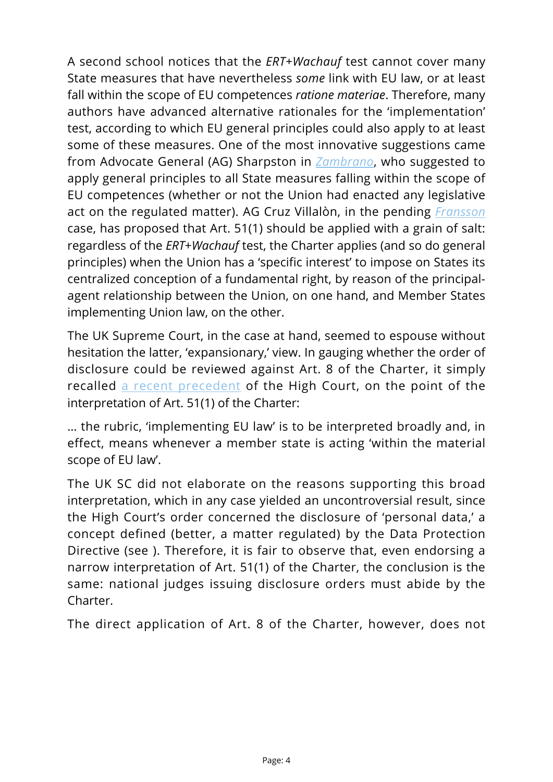A second school notices that the *ERT+Wachauf* test cannot cover many State measures that have nevertheless *some* link with EU law, or at least fall within the scope of EU competences *ratione materiae*. Therefore, many authors have advanced alternative rationales for the 'implementation' test, according to which EU general principles could also apply to at least some of these measures. One of the most innovative suggestions came from Advocate General (AG) Sharpston in *[Zambrano](http://eur-lex.europa.eu/smartapi/cgi/sga_doc?smartapi!celexplus!prod!CELEXnumdoc&lg=en&numdoc=61975J0036)*, who suggested to apply general principles to all State measures falling within the scope of EU competences (whether or not the Union had enacted any legislative act on the regulated matter). AG Cruz Villalòn, in the pending *[Fransson](http://curia.europa.eu/juris/celex.jsf?celex=62010CC0617&lang1=en&type=NOT&ancre=)* case, has proposed that Art. 51(1) should be applied with a grain of salt: regardless of the *ERT*+*Wachauf* test, the Charter applies (and so do general principles) when the Union has a 'specific interest' to impose on States its centralized conception of a fundamental right, by reason of the principalagent relationship between the Union, on one hand, and Member States implementing Union law, on the other.

The UK Supreme Court, in the case at hand, seemed to espouse without hesitation the latter, 'expansionary,' view. In gauging whether the order of disclosure could be reviewed against Art. 8 of the Charter, it simply recalled [a recent precedent](http://www.bailii.org/ew/cases/EWHC/Admin/2010/3110.html) of the High Court, on the point of the interpretation of Art. 51(1) of the Charter:

… the rubric, 'implementing EU law' is to be interpreted broadly and, in effect, means whenever a member state is acting 'within the material scope of EU law'.

The UK SC did not elaborate on the reasons supporting this broad interpretation, which in any case yielded an uncontroversial result, since the High Court's order concerned the disclosure of 'personal data,' a concept defined (better, a matter regulated) by the Data Protection Directive (see ). Therefore, it is fair to observe that, even endorsing a narrow interpretation of Art. 51(1) of the Charter, the conclusion is the same: national judges issuing disclosure orders must abide by the Charter.

The direct application of Art. 8 of the Charter, however, does not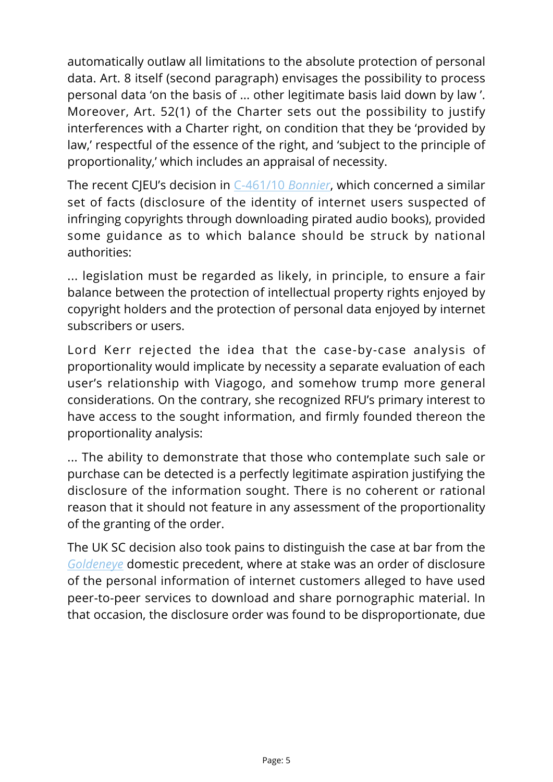automatically outlaw all limitations to the absolute protection of personal data. Art. 8 itself (second paragraph) envisages the possibility to process personal data 'on the basis of ... other legitimate basis laid down by law '. Moreover, Art. 52(1) of the Charter sets out the possibility to justify interferences with a Charter right, on condition that they be 'provided by law,' respectful of the essence of the right, and 'subject to the principle of proportionality,' which includes an appraisal of necessity.

The recent CJEU's decision in [C-461/10](http://curia.europa.eu/juris/celex.jsf?celex=62010CJ0461&lang1=en&type=NOT&ancre=) *[Bonnier](http://curia.europa.eu/juris/celex.jsf?celex=62010CJ0461&lang1=en&type=NOT&ancre=)*, which concerned a similar set of facts (disclosure of the identity of internet users suspected of infringing copyrights through downloading pirated audio books), provided some guidance as to which balance should be struck by national authorities:

... legislation must be regarded as likely, in principle, to ensure a fair balance between the protection of intellectual property rights enjoyed by copyright holders and the protection of personal data enjoyed by internet subscribers or users.

Lord Kerr rejected the idea that the case-by-case analysis of proportionality would implicate by necessity a separate evaluation of each user's relationship with Viagogo, and somehow trump more general considerations. On the contrary, she recognized RFU's primary interest to have access to the sought information, and firmly founded thereon the proportionality analysis:

... The ability to demonstrate that those who contemplate such sale or purchase can be detected is a perfectly legitimate aspiration justifying the disclosure of the information sought. There is no coherent or rational reason that it should not feature in any assessment of the proportionality of the granting of the order.

The UK SC decision also took pains to distinguish the case at bar from the *[Goldeneye](http://www.bailii.org/ew/cases/EWHC/Ch/2012/723.html)* domestic precedent, where at stake was an order of disclosure of the personal information of internet customers alleged to have used peer-to-peer services to download and share pornographic material. In that occasion, the disclosure order was found to be disproportionate, due